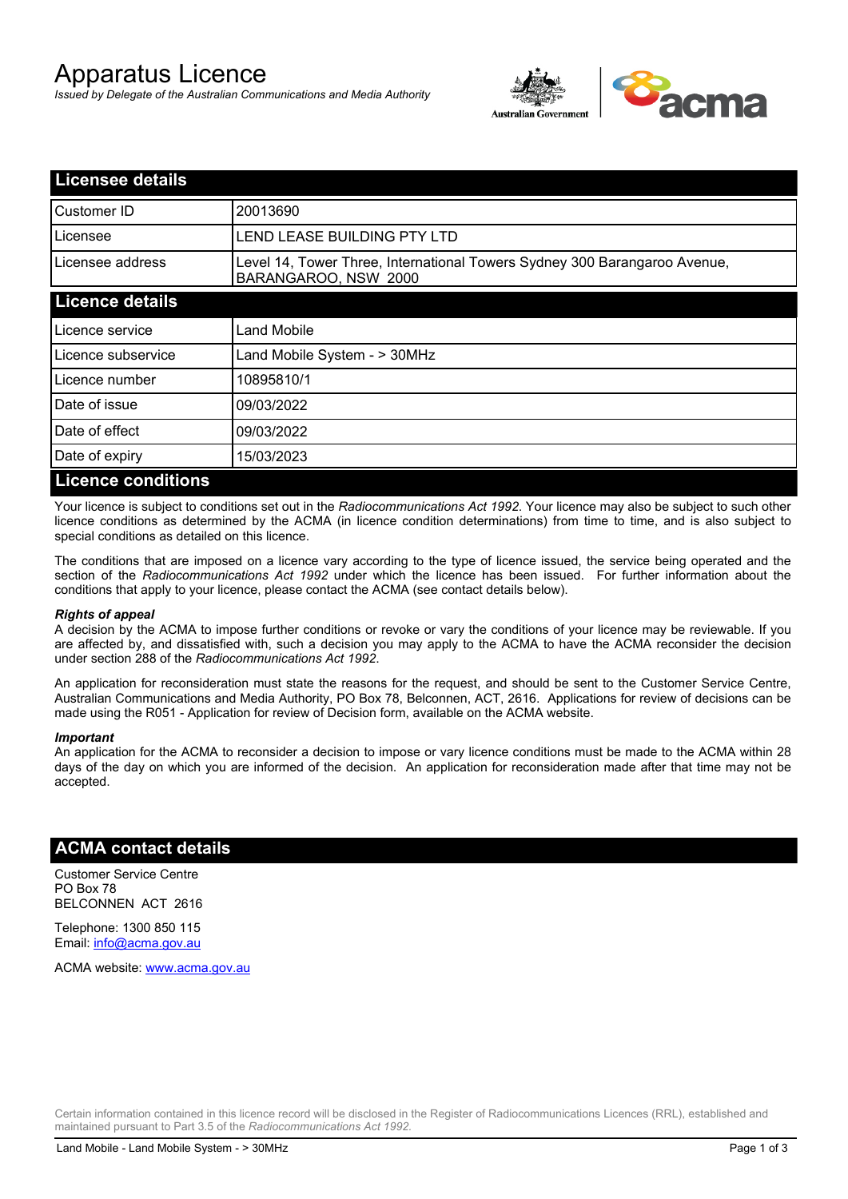# Apparatus Licence

*Issued by Delegate of the Australian Communications and Media Authority*



| <b>Licensee details</b>   |                                                                                                   |  |
|---------------------------|---------------------------------------------------------------------------------------------------|--|
| Customer ID               | 20013690                                                                                          |  |
| Licensee                  | LEND LEASE BUILDING PTY LTD                                                                       |  |
| Licensee address          | Level 14, Tower Three, International Towers Sydney 300 Barangaroo Avenue,<br>BARANGAROO, NSW 2000 |  |
| <b>Licence details</b>    |                                                                                                   |  |
| Licence service           | <b>Land Mobile</b>                                                                                |  |
| Licence subservice        | Land Mobile System - > 30MHz                                                                      |  |
| Licence number            | 10895810/1                                                                                        |  |
| Date of issue             | 09/03/2022                                                                                        |  |
| Date of effect            | 09/03/2022                                                                                        |  |
| Date of expiry            | 15/03/2023                                                                                        |  |
| <b>Licence conditions</b> |                                                                                                   |  |

Your licence is subject to conditions set out in the *Radiocommunications Act 1992*. Your licence may also be subject to such other licence conditions as determined by the ACMA (in licence condition determinations) from time to time, and is also subject to special conditions as detailed on this licence.

The conditions that are imposed on a licence vary according to the type of licence issued, the service being operated and the section of the *Radiocommunications Act 1992* under which the licence has been issued. For further information about the conditions that apply to your licence, please contact the ACMA (see contact details below).

#### *Rights of appeal*

A decision by the ACMA to impose further conditions or revoke or vary the conditions of your licence may be reviewable. If you are affected by, and dissatisfied with, such a decision you may apply to the ACMA to have the ACMA reconsider the decision under section 288 of the *Radiocommunications Act 1992*.

An application for reconsideration must state the reasons for the request, and should be sent to the Customer Service Centre, Australian Communications and Media Authority, PO Box 78, Belconnen, ACT, 2616. Applications for review of decisions can be made using the R051 - Application for review of Decision form, available on the ACMA website.

#### *Important*

An application for the ACMA to reconsider a decision to impose or vary licence conditions must be made to the ACMA within 28 days of the day on which you are informed of the decision. An application for reconsideration made after that time may not be accepted.

### **ACMA contact details**

Customer Service Centre PO Box 78 BELCONNEN ACT 2616

Telephone: 1300 850 115 Email: info@acma.gov.au

ACMA website: www.acma.gov.au

Certain information contained in this licence record will be disclosed in the Register of Radiocommunications Licences (RRL), established and maintained pursuant to Part 3.5 of the *Radiocommunications Act 1992.*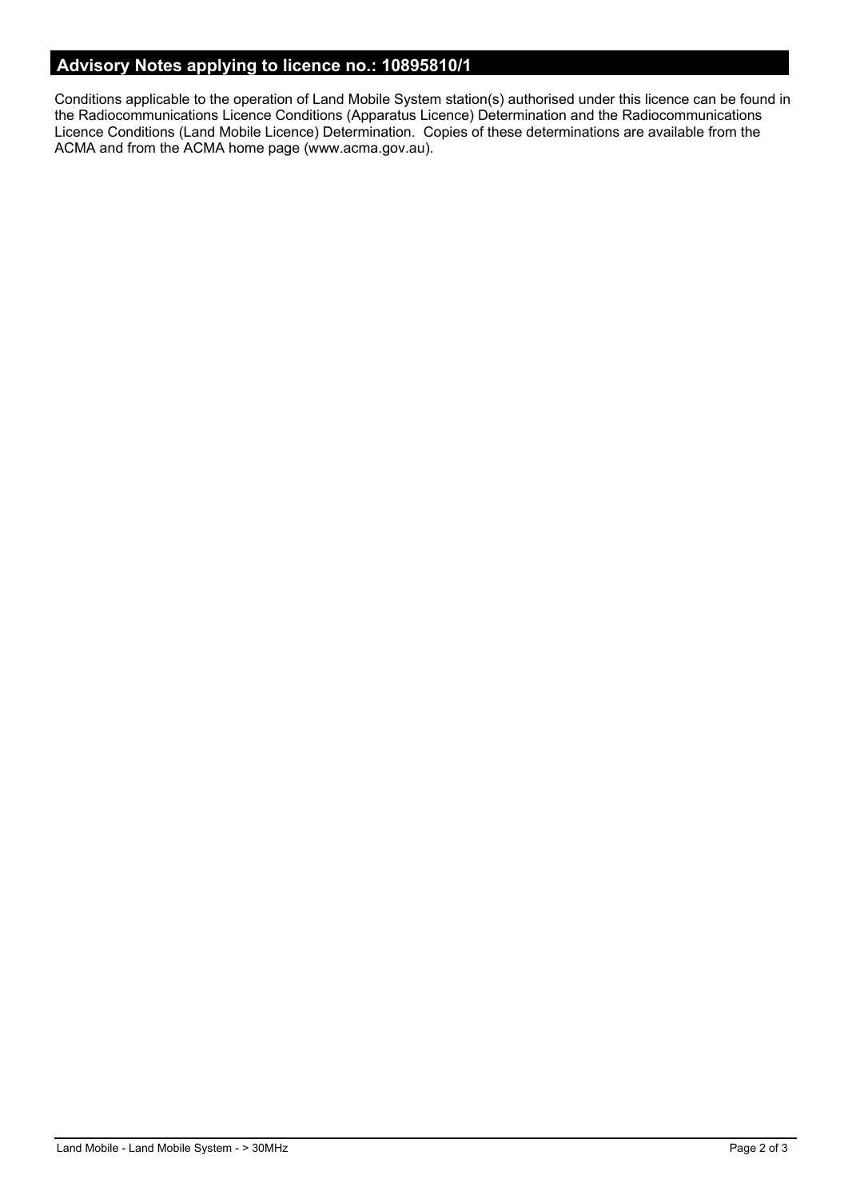# **Advisory Notes applying to licence no.: 10895810/1**

Conditions applicable to the operation of Land Mobile System station(s) authorised under this licence can be found in the Radiocommunications Licence Conditions (Apparatus Licence) Determination and the Radiocommunications Licence Conditions (Land Mobile Licence) Determination. Copies of these determinations are available from the ACMA and from the ACMA home page (www.acma.gov.au).